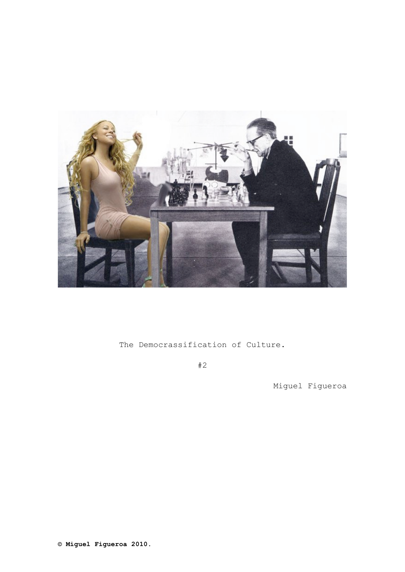

The Democrassification of Culture.

#2

Miguel Figueroa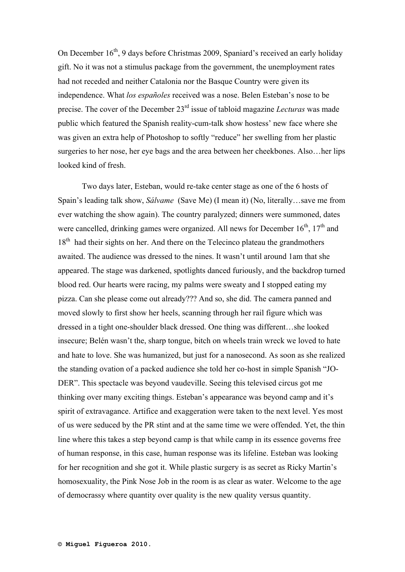On December 16<sup>th</sup>, 9 days before Christmas 2009, Spaniard's received an early holiday gift. No it was not a stimulus package from the government, the unemployment rates had not receded and neither Catalonia nor the Basque Country were given its independence. What *los españoles* received was a nose. Belen Esteban's nose to be precise. The cover of the December 23rd issue of tabloid magazine *Lecturas* was made public which featured the Spanish reality-cum-talk show hostess' new face where she was given an extra help of Photoshop to softly "reduce" her swelling from her plastic surgeries to her nose, her eye bags and the area between her cheekbones. Also…her lips looked kind of fresh.

Two days later, Esteban, would re-take center stage as one of the 6 hosts of Spain's leading talk show, *Sálvame* (Save Me) (I mean it) (No, literally…save me from ever watching the show again). The country paralyzed; dinners were summoned, dates were cancelled, drinking games were organized. All news for December  $16<sup>th</sup>$ ,  $17<sup>th</sup>$  and 18<sup>th</sup> had their sights on her. And there on the Telecinco plateau the grandmothers awaited. The audience was dressed to the nines. It wasn't until around 1am that she appeared. The stage was darkened, spotlights danced furiously, and the backdrop turned blood red. Our hearts were racing, my palms were sweaty and I stopped eating my pizza. Can she please come out already??? And so, she did. The camera panned and moved slowly to first show her heels, scanning through her rail figure which was dressed in a tight one-shoulder black dressed. One thing was different…she looked insecure; Belén wasn't the, sharp tongue, bitch on wheels train wreck we loved to hate and hate to love. She was humanized, but just for a nanosecond. As soon as she realized the standing ovation of a packed audience she told her co-host in simple Spanish "JO-DER". This spectacle was beyond vaudeville. Seeing this televised circus got me thinking over many exciting things. Esteban's appearance was beyond camp and it's spirit of extravagance. Artifice and exaggeration were taken to the next level. Yes most of us were seduced by the PR stint and at the same time we were offended. Yet, the thin line where this takes a step beyond camp is that while camp in its essence governs free of human response, in this case, human response was its lifeline. Esteban was looking for her recognition and she got it. While plastic surgery is as secret as Ricky Martin's homosexuality, the Pink Nose Job in the room is as clear as water. Welcome to the age of democrassy where quantity over quality is the new quality versus quantity.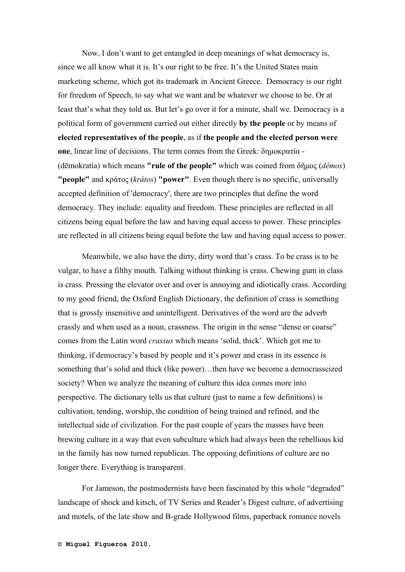Now, I don't want to get entangled in deep meanings of what democracy is, since we all know what it is. It's our right to be free. It's the United States main marketing scheme, which got its trademark in Ancient Greece. Democracy is our right for freedom of Speech, to say what we want and be whatever we choose to be. Or at least that's what they told us. But let's go over it for a minute, shall we. Democracy is a political form of government carried out either directly **by the people** or by means of **elected representatives of the people**, as if **the people and the elected person were one**, linear line of decisions. The term comes from the Greek: δηµοκρατία - (dēmokratía) which means **"rule of the people"** which was coined from δῆµος (*dêmos*) **"people"** and κράτος (*krátos*) **"power"**. Even though there is no specific, universally accepted definition of 'democracy', there are two principles that define the word democracy. They include: equality and freedom. These principles are reflected in all citizens being equal before the law and having equal access to power. These principles are reflected in all citizens being equal before the law and having equal access to power.

Meanwhile, we also have the dirty, dirty word that's crass. To be crass is to be vulgar, to have a filthy mouth. Talking without thinking is crass. Chewing gum in class is crass. Pressing the elevator over and over is annoying and idiotically crass. According to my good friend, the Oxford English Dictionary, the definition of crass is something that is grossly insensitive and unintelligent. Derivatives of the word are the adverb crassly and when used as a noun, crassness. The origin in the sense "dense or coarse" comes from the Latin word *crassus* which means 'solid, thick'. Which got me to thinking, if democracy's based by people and it's power and crass in its essence is something that's solid and thick (like power)…then have we become a democrasscized society? When we analyze the meaning of culture this idea comes more into perspective. The dictionary tells us that culture (just to name a few definitions) is cultivation, tending, worship, the condition of being trained and refined, and the intellectual side of civilization. For the past couple of years the masses have been brewing culture in a way that even subculture which had always been the rebellious kid in the family has now turned republican. The opposing definitions of culture are no longer there. Everything is transparent.

For Jameson, the postmodernists have been fascinated by this whole "degraded" landscape of shock and kitsch, of TV Series and Reader's Digest culture, of advertising and motels, of the late show and B-grade Hollywood films, paperback romance novels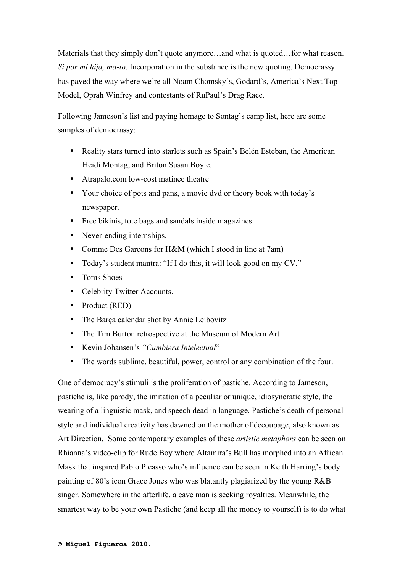Materials that they simply don't quote anymore...and what is quoted...for what reason. *Si por mi hija, ma-to*. Incorporation in the substance is the new quoting. Democrassy has paved the way where we're all Noam Chomsky's, Godard's, America's Next Top Model, Oprah Winfrey and contestants of RuPaul's Drag Race.

Following Jameson's list and paying homage to Sontag's camp list, here are some samples of democrassy:

- Reality stars turned into starlets such as Spain's Belén Esteban, the American Heidi Montag, and Briton Susan Boyle.
- Atrapalo.com low-cost matinee theatre
- Your choice of pots and pans, a movie dvd or theory book with today's newspaper.
- Free bikinis, tote bags and sandals inside magazines.
- Never-ending internships.
- Comme Des Garçons for H&M (which I stood in line at 7am)
- Today's student mantra: "If I do this, it will look good on my CV."
- Toms Shoes
- Celebrity Twitter Accounts.
- Product (RED)
- The Barça calendar shot by Annie Leibovitz
- The Tim Burton retrospective at the Museum of Modern Art
- Kevin Johansen's *"Cumbiera Intelectual*"
- The words sublime, beautiful, power, control or any combination of the four.

One of democracy's stimuli is the proliferation of pastiche. According to Jameson, pastiche is, like parody, the imitation of a peculiar or unique, idiosyncratic style, the wearing of a linguistic mask, and speech dead in language. Pastiche's death of personal style and individual creativity has dawned on the mother of decoupage, also known as Art Direction. Some contemporary examples of these *artistic metaphors* can be seen on Rhianna's video-clip for Rude Boy where Altamira's Bull has morphed into an African Mask that inspired Pablo Picasso who's influence can be seen in Keith Harring's body painting of 80's icon Grace Jones who was blatantly plagiarized by the young R&B singer. Somewhere in the afterlife, a cave man is seeking royalties. Meanwhile, the smartest way to be your own Pastiche (and keep all the money to yourself) is to do what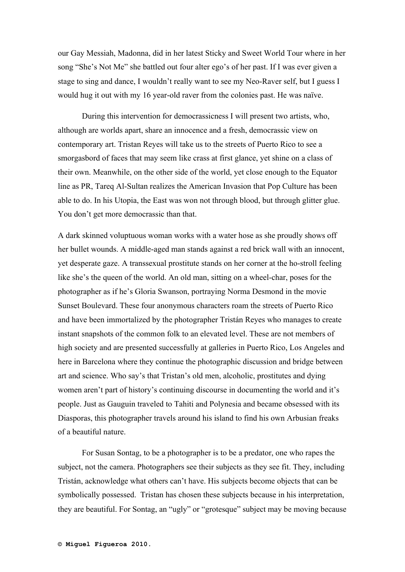our Gay Messiah, Madonna, did in her latest Sticky and Sweet World Tour where in her song "She's Not Me" she battled out four alter ego's of her past. If I was ever given a stage to sing and dance, I wouldn't really want to see my Neo-Raver self, but I guess I would hug it out with my 16 year-old raver from the colonies past. He was naïve.

During this intervention for democrassicness I will present two artists, who, although are worlds apart, share an innocence and a fresh, democrassic view on contemporary art. Tristan Reyes will take us to the streets of Puerto Rico to see a smorgasbord of faces that may seem like crass at first glance, yet shine on a class of their own. Meanwhile, on the other side of the world, yet close enough to the Equator line as PR, Tareq Al-Sultan realizes the American Invasion that Pop Culture has been able to do. In his Utopia, the East was won not through blood, but through glitter glue. You don't get more democrassic than that.

A dark skinned voluptuous woman works with a water hose as she proudly shows off her bullet wounds. A middle-aged man stands against a red brick wall with an innocent, yet desperate gaze. A transsexual prostitute stands on her corner at the ho-stroll feeling like she's the queen of the world. An old man, sitting on a wheel-char, poses for the photographer as if he's Gloria Swanson, portraying Norma Desmond in the movie Sunset Boulevard. These four anonymous characters roam the streets of Puerto Rico and have been immortalized by the photographer Tristán Reyes who manages to create instant snapshots of the common folk to an elevated level. These are not members of high society and are presented successfully at galleries in Puerto Rico, Los Angeles and here in Barcelona where they continue the photographic discussion and bridge between art and science. Who say's that Tristan's old men, alcoholic, prostitutes and dying women aren't part of history's continuing discourse in documenting the world and it's people. Just as Gauguin traveled to Tahiti and Polynesia and became obsessed with its Diasporas, this photographer travels around his island to find his own Arbusian freaks of a beautiful nature.

For Susan Sontag, to be a photographer is to be a predator, one who rapes the subject, not the camera. Photographers see their subjects as they see fit. They, including Tristán, acknowledge what others can't have. His subjects become objects that can be symbolically possessed. Tristan has chosen these subjects because in his interpretation, they are beautiful. For Sontag, an "ugly" or "grotesque" subject may be moving because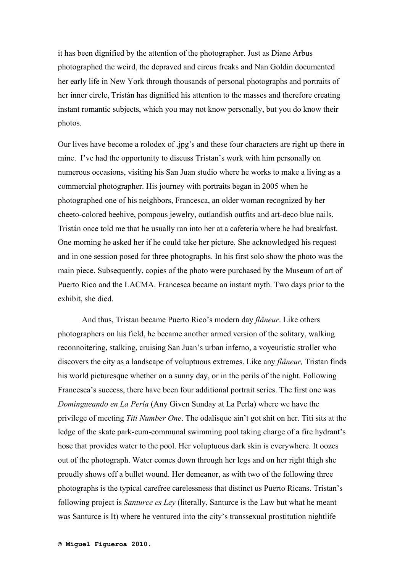it has been dignified by the attention of the photographer. Just as Diane Arbus photographed the weird, the depraved and circus freaks and Nan Goldin documented her early life in New York through thousands of personal photographs and portraits of her inner circle, Tristán has dignified his attention to the masses and therefore creating instant romantic subjects, which you may not know personally, but you do know their photos.

Our lives have become a rolodex of .jpg's and these four characters are right up there in mine. I've had the opportunity to discuss Tristan's work with him personally on numerous occasions, visiting his San Juan studio where he works to make a living as a commercial photographer. His journey with portraits began in 2005 when he photographed one of his neighbors, Francesca, an older woman recognized by her cheeto-colored beehive, pompous jewelry, outlandish outfits and art-deco blue nails. Tristán once told me that he usually ran into her at a cafeteria where he had breakfast. One morning he asked her if he could take her picture. She acknowledged his request and in one session posed for three photographs. In his first solo show the photo was the main piece. Subsequently, copies of the photo were purchased by the Museum of art of Puerto Rico and the LACMA. Francesca became an instant myth. Two days prior to the exhibit, she died.

And thus, Tristan became Puerto Rico's modern day *flâneur*. Like others photographers on his field, he became another armed version of the solitary, walking reconnoitering, stalking, cruising San Juan's urban inferno, a voyeuristic stroller who discovers the city as a landscape of voluptuous extremes. Like any *flâneur,* Tristan finds his world picturesque whether on a sunny day, or in the perils of the night. Following Francesca's success, there have been four additional portrait series. The first one was *Domingueando en La Perla* (Any Given Sunday at La Perla) where we have the privilege of meeting *Titi Number One*. The odalisque ain't got shit on her. Titi sits at the ledge of the skate park-cum-communal swimming pool taking charge of a fire hydrant's hose that provides water to the pool. Her voluptuous dark skin is everywhere. It oozes out of the photograph. Water comes down through her legs and on her right thigh she proudly shows off a bullet wound. Her demeanor, as with two of the following three photographs is the typical carefree carelessness that distinct us Puerto Ricans. Tristan's following project is *Santurce es Ley* (literally, Santurce is the Law but what he meant was Santurce is It) where he ventured into the city's transsexual prostitution nightlife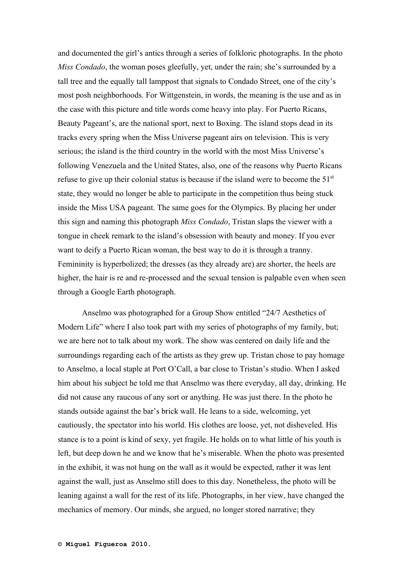and documented the girl's antics through a series of folkloric photographs. In the photo *Miss Condado*, the woman poses gleefully, yet, under the rain; she's surrounded by a tall tree and the equally tall lamppost that signals to Condado Street, one of the city's most posh neighborhoods. For Wittgenstein, in words, the meaning is the use and as in the case with this picture and title words come heavy into play. For Puerto Ricans, Beauty Pageant's, are the national sport, next to Boxing. The island stops dead in its tracks every spring when the Miss Universe pageant airs on television. This is very serious; the island is the third country in the world with the most Miss Universe's following Venezuela and the United States, also, one of the reasons why Puerto Ricans refuse to give up their colonial status is because if the island were to become the  $51<sup>st</sup>$ state, they would no longer be able to participate in the competition thus being stuck inside the Miss USA pageant. The same goes for the Olympics. By placing her under this sign and naming this photograph *Miss Condado*, Tristan slaps the viewer with a tongue in cheek remark to the island's obsession with beauty and money. If you ever want to deify a Puerto Rican woman, the best way to do it is through a tranny. Femininity is hyperbolized; the dresses (as they already are) are shorter, the heels are higher, the hair is re and re-processed and the sexual tension is palpable even when seen through a Google Earth photograph.

Anselmo was photographed for a Group Show entitled "24/7 Aesthetics of Modern Life" where I also took part with my series of photographs of my family, but; we are here not to talk about my work. The show was centered on daily life and the surroundings regarding each of the artists as they grew up. Tristan chose to pay homage to Anselmo, a local staple at Port O'Call, a bar close to Tristan's studio. When I asked him about his subject he told me that Anselmo was there everyday, all day, drinking. He did not cause any raucous of any sort or anything. He was just there. In the photo he stands outside against the bar's brick wall. He leans to a side, welcoming, yet cautiously, the spectator into his world. His clothes are loose, yet, not disheveled. His stance is to a point is kind of sexy, yet fragile. He holds on to what little of his youth is left, but deep down he and we know that he's miserable. When the photo was presented in the exhibit, it was not hung on the wall as it would be expected, rather it was lent against the wall, just as Anselmo still does to this day. Nonetheless, the photo will be leaning against a wall for the rest of its life. Photographs, in her view, have changed the mechanics of memory. Our minds, she argued, no longer stored narrative; they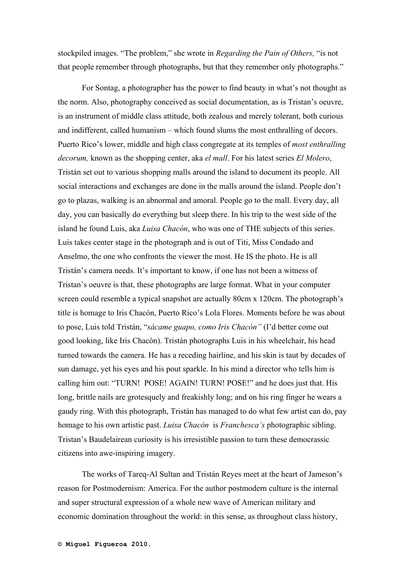stockpiled images. "The problem," she wrote in *Regarding the Pain of Others,* "is not that people remember through photographs, but that they remember only photographs."

For Sontag, a photographer has the power to find beauty in what's not thought as the norm. Also, photography conceived as social documentation, as is Tristan's oeuvre, is an instrument of middle class attitude, both zealous and merely tolerant, both curious and indifferent, called humanism – which found slums the most enthralling of decors. Puerto Rico's lower, middle and high class congregate at its temples of *most enthralling decorum,* known as the shopping center, aka *el mall*. For his latest series *El Molero*, Tristán set out to various shopping malls around the island to document its people. All social interactions and exchanges are done in the malls around the island. People don't go to plazas, walking is an abnormal and amoral. People go to the mall. Every day, all day, you can basically do everything but sleep there. In his trip to the west side of the island he found Luis, aka *Luisa Chacón*, who was one of THE subjects of this series. Luis takes center stage in the photograph and is out of Titi, Miss Condado and Anselmo, the one who confronts the viewer the most. He IS the photo. He is all Tristán's camera needs. It's important to know, if one has not been a witness of Tristan's oeuvre is that, these photographs are large format. What in your computer screen could resemble a typical snapshot are actually 80cm x 120cm. The photograph's title is homage to Iris Chacón, Puerto Rico's Lola Flores. Moments before he was about to pose, Luis told Tristán, "*sácame guapo, como Iris Chacón"* (I'd better come out good looking, like Iris Chacón). Tristán photographs Luis in his wheelchair, his head turned towards the camera. He has a receding hairline, and his skin is taut by decades of sun damage, yet his eyes and his pout sparkle. In his mind a director who tells him is calling him out: "TURN! POSE! AGAIN! TURN! POSE!" and he does just that. His long, brittle nails are grotesquely and freakishly long; and on his ring finger he wears a gaudy ring. With this photograph, Tristán has managed to do what few artist can do, pay homage to his own artistic past. *Luisa Chacón* is *Franchesca's* photographic sibling. Tristan's Baudelairean curiosity is his irresistible passion to turn these democrassic citizens into awe-inspiring imagery.

The works of Tareq-Al Sultan and Tristán Reyes meet at the heart of Jameson's reason for Postmodernism: America. For the author postmodern culture is the internal and super structural expression of a whole new wave of American military and economic domination throughout the world: in this sense, as throughout class history,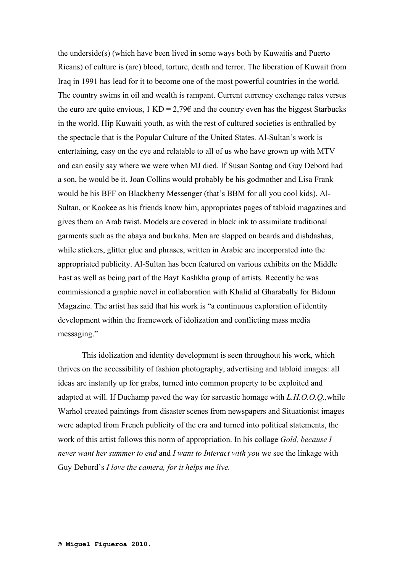the underside(s) (which have been lived in some ways both by Kuwaitis and Puerto Ricans) of culture is (are) blood, torture, death and terror. The liberation of Kuwait from Iraq in 1991 has lead for it to become one of the most powerful countries in the world. The country swims in oil and wealth is rampant. Current currency exchange rates versus the euro are quite envious,  $1 \text{ KD} = 2.79\epsilon$  and the country even has the biggest Starbucks in the world. Hip Kuwaiti youth, as with the rest of cultured societies is enthralled by the spectacle that is the Popular Culture of the United States. Al-Sultan's work is entertaining, easy on the eye and relatable to all of us who have grown up with MTV and can easily say where we were when MJ died. If Susan Sontag and Guy Debord had a son, he would be it. Joan Collins would probably be his godmother and Lisa Frank would be his BFF on Blackberry Messenger (that's BBM for all you cool kids). Al-Sultan, or Kookee as his friends know him, appropriates pages of tabloid magazines and gives them an Arab twist. Models are covered in black ink to assimilate traditional garments such as the abaya and burkahs. Men are slapped on beards and dishdashas, while stickers, glitter glue and phrases, written in Arabic are incorporated into the appropriated publicity. Al-Sultan has been featured on various exhibits on the Middle East as well as being part of the Bayt Kashkha group of artists. Recently he was commissioned a graphic novel in collaboration with Khalid al Gharabally for Bidoun Magazine. The artist has said that his work is "a continuous exploration of identity development within the framework of idolization and conflicting mass media messaging."

This idolization and identity development is seen throughout his work, which thrives on the accessibility of fashion photography, advertising and tabloid images: all ideas are instantly up for grabs, turned into common property to be exploited and adapted at will. If Duchamp paved the way for sarcastic homage with *L.H.O.O.Q.,*while Warhol created paintings from disaster scenes from newspapers and Situationist images were adapted from French publicity of the era and turned into political statements, the work of this artist follows this norm of appropriation. In his collage *Gold, because I never want her summer to end* and *I want to Interact with you* we see the linkage with Guy Debord's *I love the camera, for it helps me live.*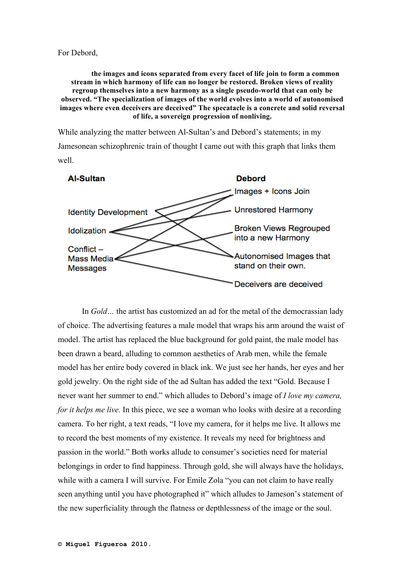**the images and icons separated from every facet of life join to form a common stream in which harmony of life can no longer be restored. Broken views of reality regroup themselves into a new harmony as a single pseudo-world that can only be observed. "The specialization of images of the world evolves into a world of autonomised images where even deceivers are deceived" The specatacle is a concrete and solid reversal of life, a sovereign progression of nonliving.**

While analyzing the matter between Al-Sultan's and Debord's statements; in my Jamesonean schizophrenic train of thought I came out with this graph that links them well.



In *Gold*... the artist has customized an ad for the metal of the democrassian lady of choice. The advertising features a male model that wraps his arm around the waist of model. The artist has replaced the blue background for gold paint, the male model has been drawn a beard, alluding to common aesthetics of Arab men, while the female model has her entire body covered in black ink. We just see her hands, her eyes and her gold jewelry. On the right side of the ad Sultan has added the text "Gold. Because I never want her summer to end." which alludes to Debord's image of *I love my camera, for it helps me live.* In this piece, we see a woman who looks with desire at a recording camera. To her right, a text reads, "I love my camera, for it helps me live. It allows me to record the best moments of my existence. It reveals my need for brightness and passion in the world." Both works allude to consumer's societies need for material belongings in order to find happiness. Through gold, she will always have the holidays, while with a camera I will survive. For Emile Zola "you can not claim to have really seen anything until you have photographed it" which alludes to Jameson's statement of the new superficiality through the flatness or depthlessness of the image or the soul.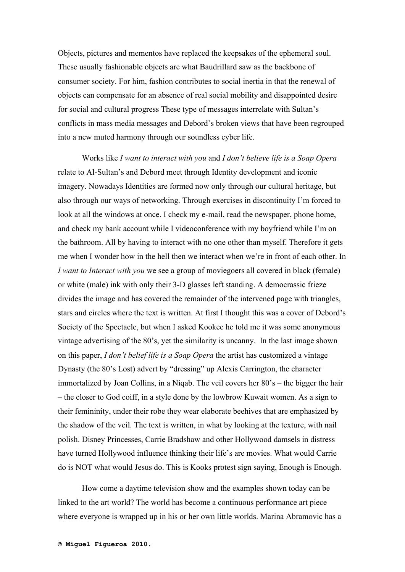Objects, pictures and mementos have replaced the keepsakes of the ephemeral soul. These usually fashionable objects are what Baudrillard saw as the backbone of consumer society. For him, fashion contributes to social inertia in that the renewal of objects can compensate for an absence of real social mobility and disappointed desire for social and cultural progress These type of messages interrelate with Sultan's conflicts in mass media messages and Debord's broken views that have been regrouped into a new muted harmony through our soundless cyber life.

Works like *I want to interact with you* and *I don't believe life is a Soap Opera*  relate to Al-Sultan's and Debord meet through Identity development and iconic imagery. Nowadays Identities are formed now only through our cultural heritage, but also through our ways of networking. Through exercises in discontinuity I'm forced to look at all the windows at once. I check my e-mail, read the newspaper, phone home, and check my bank account while I videoconference with my boyfriend while I'm on the bathroom. All by having to interact with no one other than myself. Therefore it gets me when I wonder how in the hell then we interact when we're in front of each other. In *I want to Interact with you* we see a group of moviegoers all covered in black (female) or white (male) ink with only their 3-D glasses left standing. A democrassic frieze divides the image and has covered the remainder of the intervened page with triangles, stars and circles where the text is written. At first I thought this was a cover of Debord's Society of the Spectacle, but when I asked Kookee he told me it was some anonymous vintage advertising of the 80's, yet the similarity is uncanny. In the last image shown on this paper, *I don't belief life is a Soap Opera* the artist has customized a vintage Dynasty (the 80's Lost) advert by "dressing" up Alexis Carrington, the character immortalized by Joan Collins, in a Niqab. The veil covers her 80's – the bigger the hair – the closer to God coiff, in a style done by the lowbrow Kuwait women. As a sign to their femininity, under their robe they wear elaborate beehives that are emphasized by the shadow of the veil. The text is written, in what by looking at the texture, with nail polish. Disney Princesses, Carrie Bradshaw and other Hollywood damsels in distress have turned Hollywood influence thinking their life's are movies. What would Carrie do is NOT what would Jesus do. This is Kooks protest sign saying, Enough is Enough.

How come a daytime television show and the examples shown today can be linked to the art world? The world has become a continuous performance art piece where everyone is wrapped up in his or her own little worlds. Marina Abramovic has a